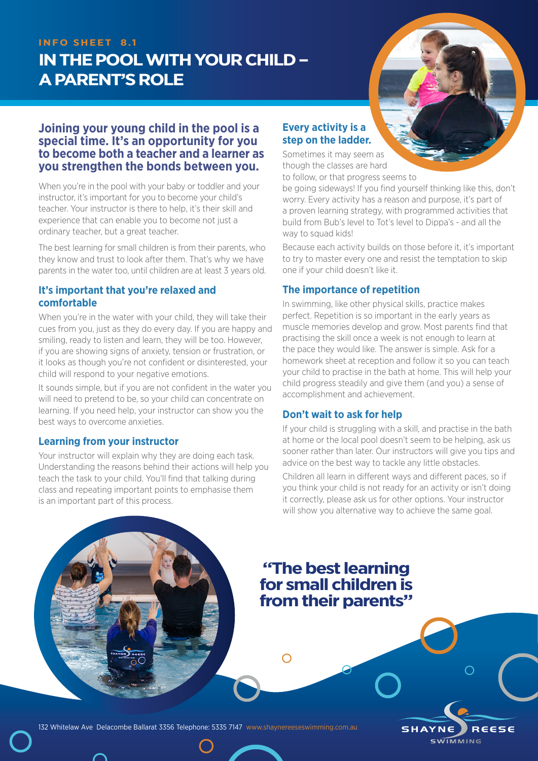### **INFO SHEET 8.1**

# **IN THE POOL WITH YOUR CHILD – A PARENT'S ROLE**



## **Joining your young child in the pool is a special time. It's an opportunity for you to become both a teacher and a learner as you strengthen the bonds between you.**

When you're in the pool with your baby or toddler and your instructor, it's important for you to become your child's teacher. Your instructor is there to help, it's their skill and experience that can enable you to become not just a ordinary teacher, but a great teacher.

The best learning for small children is from their parents, who they know and trust to look after them. That's why we have parents in the water too, until children are at least 3 years old.

#### **It's important that you're relaxed and comfortable**

When you're in the water with your child, they will take their cues from you, just as they do every day. If you are happy and smiling, ready to listen and learn, they will be too. However, if you are showing signs of anxiety, tension or frustration, or it looks as though you're not confident or disinterested, your child will respond to your negative emotions.

It sounds simple, but if you are not confident in the water you will need to pretend to be, so your child can concentrate on learning. If you need help, your instructor can show you the best ways to overcome anxieties.

### **Learning from your instructor**

Your instructor will explain why they are doing each task. Understanding the reasons behind their actions will help you teach the task to your child. You'll find that talking during class and repeating important points to emphasise them is an important part of this process.

## **Every activity is a step on the ladder.**

Sometimes it may seem as though the classes are hard to follow, or that progress seems to

be going sideways! If you find yourself thinking like this, don't worry. Every activity has a reason and purpose, it's part of a proven learning strategy, with programmed activities that build from Bub's level to Tot's level to Dippa's - and all the way to squad kids!

Because each activity builds on those before it, it's important to try to master every one and resist the temptation to skip one if your child doesn't like it.

# **The importance of repetition**

In swimming, like other physical skills, practice makes perfect. Repetition is so important in the early years as muscle memories develop and grow. Most parents find that practising the skill once a week is not enough to learn at the pace they would like. The answer is simple. Ask for a homework sheet at reception and follow it so you can teach your child to practise in the bath at home. This will help your child progress steadily and give them (and you) a sense of accomplishment and achievement.

# **Don't wait to ask for help**

If your child is struggling with a skill, and practise in the bath at home or the local pool doesn't seem to be helping, ask us sooner rather than later. Our instructors will give you tips and advice on the best way to tackle any little obstacles.

Children all learn in different ways and different paces, so if you think your child is not ready for an activity or isn't doing it correctly, please ask us for other options. Your instructor will show you alternative way to achieve the same goal.

# **"The best learning for small children is from their parents"**

 $\bigcap$ 



**SHAYNE** REESE **SWIMMING**